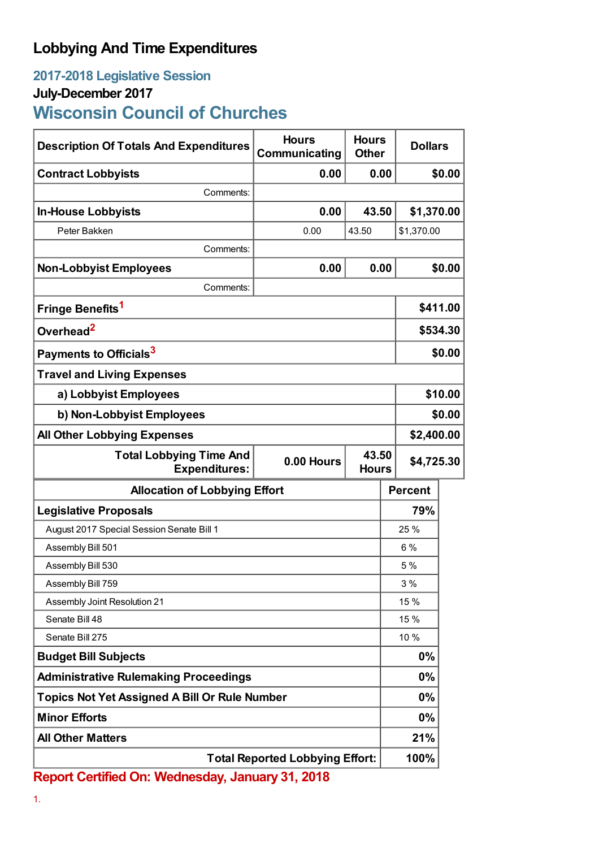## **Lobbying And Time Expenditures**

# **2017-2018 Legislative Session**

### **July-December 2017**

# **Wisconsin Council of Churches**

| <b>Description Of Totals And Expenditures</b>                                                 | <b>Hours</b><br>Communicating | <b>Hours</b><br><b>Other</b> | <b>Dollars</b> |          |  |
|-----------------------------------------------------------------------------------------------|-------------------------------|------------------------------|----------------|----------|--|
| <b>Contract Lobbyists</b>                                                                     | 0.00                          | 0.00                         |                | \$0.00   |  |
| Comments:                                                                                     |                               |                              |                |          |  |
| <b>In-House Lobbyists</b>                                                                     | 0.00                          | 43.50                        | \$1,370.00     |          |  |
| Peter Bakken                                                                                  | 0.00                          | 43.50                        | \$1,370.00     |          |  |
| Comments:                                                                                     |                               |                              |                |          |  |
| <b>Non-Lobbyist Employees</b>                                                                 | 0.00                          | 0.00                         |                | \$0.00   |  |
| Comments:                                                                                     |                               |                              |                |          |  |
| Fringe Benefits <sup>1</sup>                                                                  |                               |                              |                | \$411.00 |  |
| Overhead <sup>2</sup>                                                                         |                               |                              |                | \$534.30 |  |
| Payments to Officials <sup>3</sup>                                                            |                               |                              | \$0.00         |          |  |
| <b>Travel and Living Expenses</b>                                                             |                               |                              |                |          |  |
| a) Lobbyist Employees                                                                         |                               |                              | \$10.00        |          |  |
| b) Non-Lobbyist Employees                                                                     |                               |                              | \$0.00         |          |  |
| <b>All Other Lobbying Expenses</b>                                                            |                               |                              | \$2,400.00     |          |  |
| 43.50<br><b>Total Lobbying Time And</b><br>0.00 Hours<br><b>Expenditures:</b><br><b>Hours</b> |                               |                              | \$4,725.30     |          |  |
| <b>Allocation of Lobbying Effort</b>                                                          |                               |                              | <b>Percent</b> |          |  |
| <b>Legislative Proposals</b>                                                                  |                               |                              | 79%            |          |  |
| August 2017 Special Session Senate Bill 1                                                     |                               |                              | 25 %           |          |  |
| Assembly Bill 501                                                                             |                               |                              | 6%             |          |  |
| Assembly Bill 530                                                                             |                               |                              | 5%             |          |  |
| Assembly Bill 759                                                                             |                               |                              | 3%             |          |  |
| Assembly Joint Resolution 21                                                                  |                               |                              | 15 %           |          |  |
| Senate Bill 48                                                                                |                               |                              | 15 %           |          |  |
| Senate Bill 275                                                                               |                               |                              | 10%            |          |  |
| <b>Budget Bill Subjects</b>                                                                   |                               |                              | $0\%$          |          |  |
| <b>Administrative Rulemaking Proceedings</b>                                                  |                               |                              | $0\%$          |          |  |
| <b>Topics Not Yet Assigned A Bill Or Rule Number</b>                                          |                               |                              | $0\%$          |          |  |
| <b>Minor Efforts</b>                                                                          |                               |                              | $0\%$          |          |  |
| <b>All Other Matters</b>                                                                      |                               |                              | 21%            |          |  |
| <b>Total Reported Lobbying Effort:</b>                                                        |                               |                              | 100%           |          |  |

**Report Certified On: Wednesday, January 31, 2018**